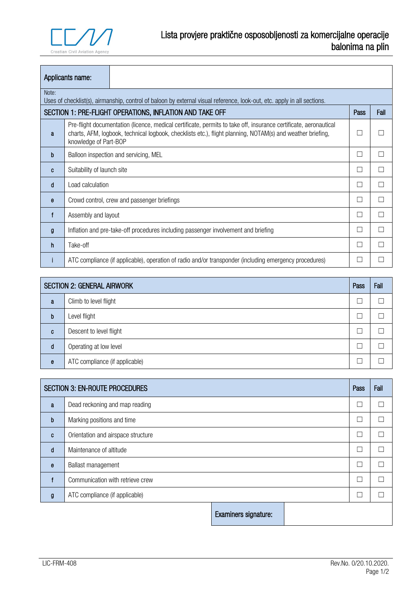

|                                                                          | Applicants name:                                                                                                                                                                                                                                        |                                                                                                                         |     |  |
|--------------------------------------------------------------------------|---------------------------------------------------------------------------------------------------------------------------------------------------------------------------------------------------------------------------------------------------------|-------------------------------------------------------------------------------------------------------------------------|-----|--|
| Note:                                                                    |                                                                                                                                                                                                                                                         | Uses of checklist(s), airmanship, control of baloon by external visual reference, look-out, etc. apply in all sections. |     |  |
| SECTION 1: PRE-FLIGHT OPERATIONS, INFLATION AND TAKE OFF<br>Fail<br>Pass |                                                                                                                                                                                                                                                         |                                                                                                                         |     |  |
| a                                                                        | Pre-flight documentation (licence, medical certificate, permits to take off, insurance certificate, aeronautical<br>charts, AFM, logbook, technical logbook, checklists etc.), flight planning, NOTAM(s) and weather briefing,<br>knowledge of Part-BOP |                                                                                                                         | ×   |  |
| b                                                                        | Balloon inspection and servicing, MEL                                                                                                                                                                                                                   |                                                                                                                         |     |  |
| C                                                                        | Suitability of launch site                                                                                                                                                                                                                              |                                                                                                                         | ×.  |  |
| d                                                                        | Load calculation                                                                                                                                                                                                                                        |                                                                                                                         | n l |  |
| e                                                                        | Crowd control, crew and passenger briefings                                                                                                                                                                                                             |                                                                                                                         | ×   |  |
| f                                                                        | Assembly and layout                                                                                                                                                                                                                                     |                                                                                                                         | ×   |  |
| g                                                                        | Inflation and pre-take-off procedures including passenger involvement and briefing                                                                                                                                                                      |                                                                                                                         |     |  |
| h                                                                        | Take-off                                                                                                                                                                                                                                                |                                                                                                                         | ×.  |  |
| ш                                                                        |                                                                                                                                                                                                                                                         | ATC compliance (if applicable), operation of radio and/or transponder (including emergency procedures)                  |     |  |

| <b>SECTION 2: GENERAL AIRWORK</b> |                                | Pass | Fail |
|-----------------------------------|--------------------------------|------|------|
| a                                 | Climb to level flight          |      |      |
| b                                 | Level flight                   |      |      |
| C                                 | Descent to level flight        |      |      |
| d                                 | Operating at low level         |      |      |
| e                                 | ATC compliance (if applicable) |      |      |

| <b>SECTION 3: EN-ROUTE PROCEDURES</b> |                                    |                      | Pass | Fail |
|---------------------------------------|------------------------------------|----------------------|------|------|
| a                                     | Dead reckoning and map reading     |                      |      |      |
| b                                     | Marking positions and time         |                      |      |      |
| $\mathbf{C}$                          | Orientation and airspace structure |                      |      |      |
| d                                     | Maintenance of altitude            |                      |      |      |
| $\mathbf{e}$                          | Ballast management                 |                      |      |      |
|                                       | Communication with retrieve crew   |                      |      |      |
| g                                     | ATC compliance (if applicable)     |                      |      |      |
|                                       |                                    | Examiners signature: |      |      |